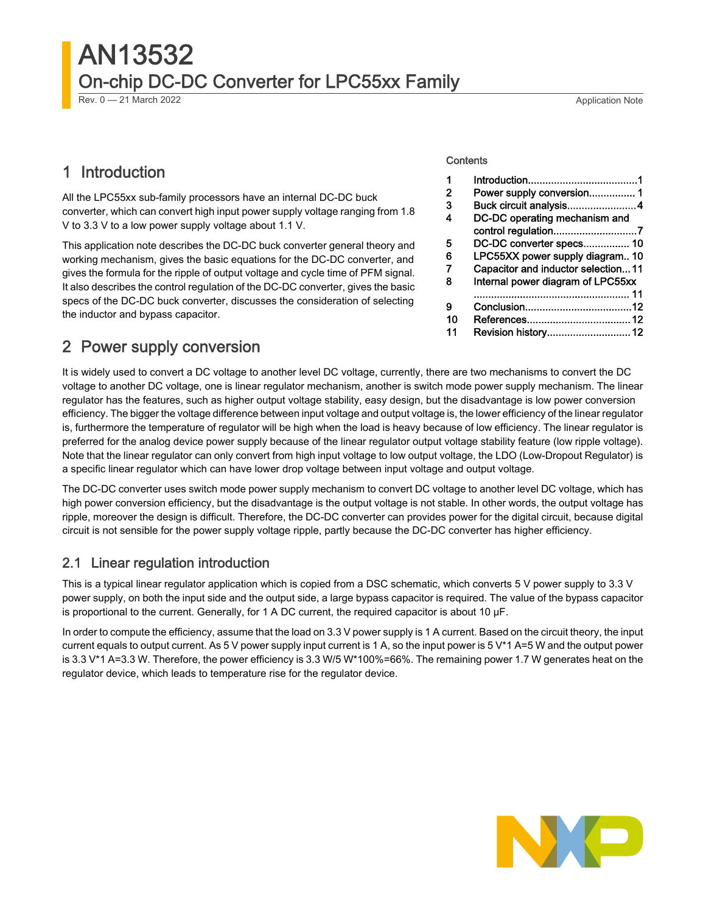# AN13532 On-chip DC-DC Converter for LPC55xx Family

Rev. 0 — 21 March 2022 Application Note

### 1 Introduction

All the LPC55xx sub-family processors have an internal DC-DC buck converter, which can convert high input power supply voltage ranging from 1.8 V to 3.3 V to a low power supply voltage about 1.1 V.

This application note describes the DC-DC buck converter general theory and working mechanism, gives the basic equations for the DC-DC converter, and gives the formula for the ripple of output voltage and cycle time of PFM signal. It also describes the control regulation of the DC-DC converter, gives the basic specs of the DC-DC buck converter, discusses the consideration of selecting the inductor and bypass capacitor.

#### **Contents**

| 1  |                                    |  |
|----|------------------------------------|--|
| 2  | Power supply conversion 1          |  |
| 3  | Buck circuit analysis4             |  |
| 4  | DC-DC operating mechanism and      |  |
|    | control regulation7                |  |
| 5  | DC-DC converter specs 10           |  |
| 6  | LPC55XX power supply diagram 10    |  |
| 7  | Capacitor and inductor selection11 |  |
| 8  | Internal power diagram of LPC55xx  |  |
|    |                                    |  |
| 9  |                                    |  |
| 10 |                                    |  |
| 11 | Revision history 12                |  |
|    |                                    |  |

## 2 Power supply conversion

It is widely used to convert a DC voltage to another level DC voltage, currently, there are two mechanisms to convert the DC voltage to another DC voltage, one is linear regulator mechanism, another is switch mode power supply mechanism. The linear regulator has the features, such as higher output voltage stability, easy design, but the disadvantage is low power conversion efficiency. The bigger the voltage difference between input voltage and output voltage is, the lower efficiency of the linear regulator is, furthermore the temperature of regulator will be high when the load is heavy because of low efficiency. The linear regulator is preferred for the analog device power supply because of the linear regulator output voltage stability feature (low ripple voltage). Note that the linear regulator can only convert from high input voltage to low output voltage, the LDO (Low-Dropout Regulator) is a specific linear regulator which can have lower drop voltage between input voltage and output voltage.

The DC-DC converter uses switch mode power supply mechanism to convert DC voltage to another level DC voltage, which has high power conversion efficiency, but the disadvantage is the output voltage is not stable. In other words, the output voltage has ripple, moreover the design is difficult. Therefore, the DC-DC converter can provides power for the digital circuit, because digital circuit is not sensible for the power supply voltage ripple, partly because the DC-DC converter has higher efficiency.

#### 2.1 Linear regulation introduction

This is a typical linear regulator application which is copied from a DSC schematic, which converts 5 V power supply to 3.3 V power supply, on both the input side and the output side, a large bypass capacitor is required. The value of the bypass capacitor is proportional to the current. Generally, for 1 A DC current, the required capacitor is about 10 μF.

In order to compute the efficiency, assume that the load on 3.3 V power supply is 1 A current. Based on the circuit theory, the input current equals to output current. As 5 V power supply input current is 1 A, so the input power is 5 V\*1 A=5 W and the output power is 3.3 V\*1 A=3.3 W. Therefore, the power efficiency is 3.3 W/5 W\*100%=66%. The remaining power 1.7 W generates heat on the regulator device, which leads to temperature rise for the regulator device.

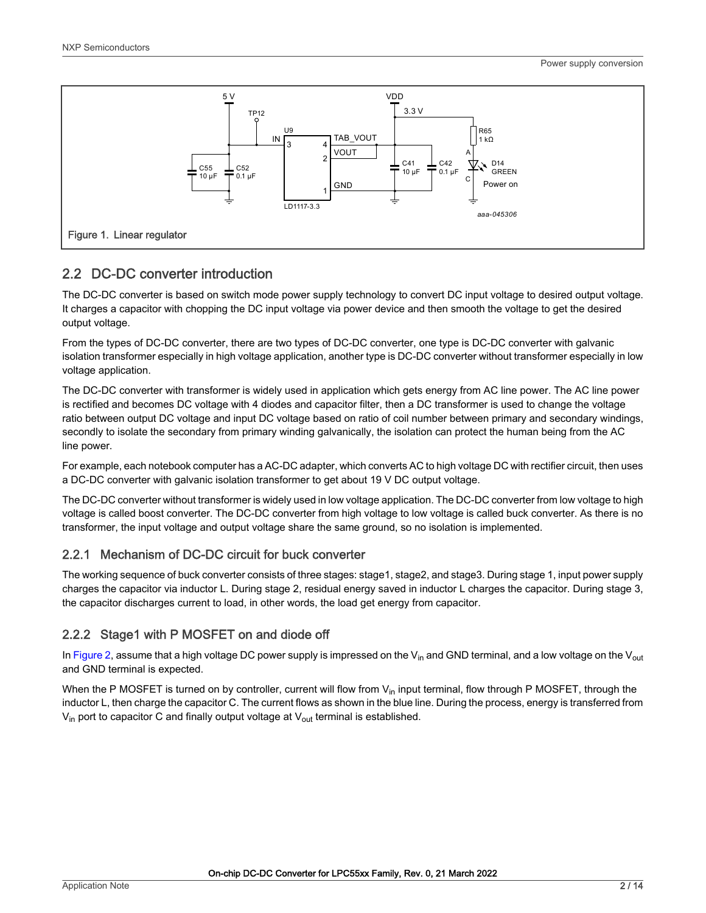<span id="page-1-0"></span>

#### 2.2 DC-DC converter introduction

The DC-DC converter is based on switch mode power supply technology to convert DC input voltage to desired output voltage. It charges a capacitor with chopping the DC input voltage via power device and then smooth the voltage to get the desired output voltage.

From the types of DC-DC converter, there are two types of DC-DC converter, one type is DC-DC converter with galvanic isolation transformer especially in high voltage application, another type is DC-DC converter without transformer especially in low voltage application.

The DC-DC converter with transformer is widely used in application which gets energy from AC line power. The AC line power is rectified and becomes DC voltage with 4 diodes and capacitor filter, then a DC transformer is used to change the voltage ratio between output DC voltage and input DC voltage based on ratio of coil number between primary and secondary windings, secondly to isolate the secondary from primary winding galvanically, the isolation can protect the human being from the AC line power.

For example, each notebook computer has a AC-DC adapter, which converts AC to high voltage DC with rectifier circuit, then uses a DC-DC converter with galvanic isolation transformer to get about 19 V DC output voltage.

The DC-DC converter without transformer is widely used in low voltage application. The DC-DC converter from low voltage to high voltage is called boost converter. The DC-DC converter from high voltage to low voltage is called buck converter. As there is no transformer, the input voltage and output voltage share the same ground, so no isolation is implemented.

#### 2.2.1 Mechanism of DC-DC circuit for buck converter

The working sequence of buck converter consists of three stages: stage1, stage2, and stage3. During stage 1, input power supply charges the capacitor via inductor L. During stage 2, residual energy saved in inductor L charges the capacitor. During stage 3, the capacitor discharges current to load, in other words, the load get energy from capacitor.

#### 2.2.2 Stage1 with P MOSFET on and diode off

In [Figure 2](#page-2-0), assume that a high voltage DC power supply is impressed on the V<sub>in</sub> and GND terminal, and a low voltage on the V<sub>out</sub> and GND terminal is expected.

When the P MOSFET is turned on by controller, current will flow from  $V_{in}$  input terminal, flow through P MOSFET, through the inductor L, then charge the capacitor C. The current flows as shown in the blue line. During the process, energy is transferred from  $V_{in}$  port to capacitor C and finally output voltage at  $V_{out}$  terminal is established.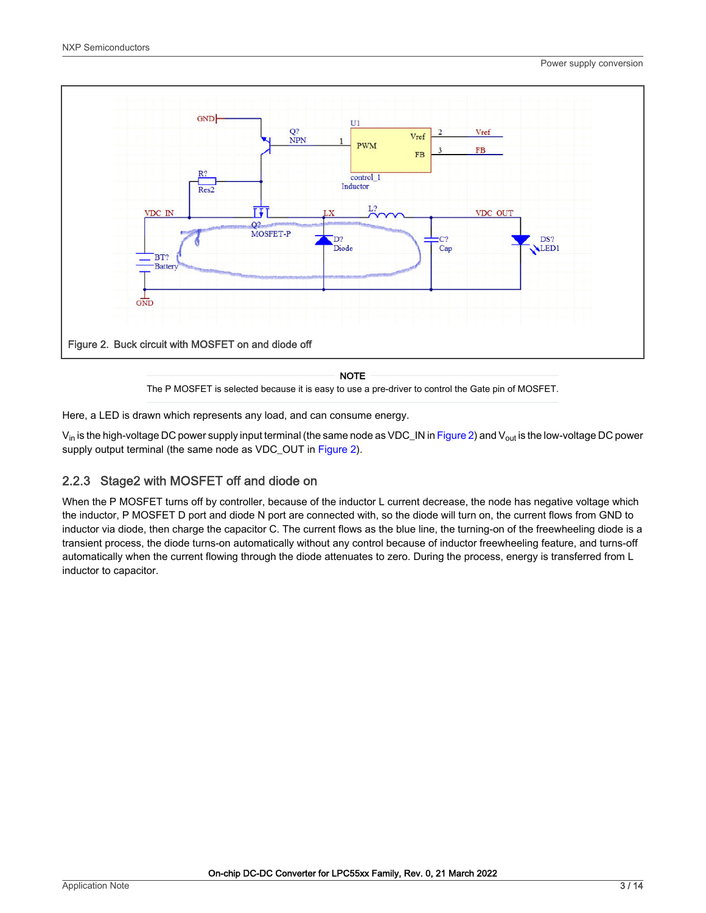<span id="page-2-0"></span>

NOTE

The P MOSFET is selected because it is easy to use a pre-driver to control the Gate pin of MOSFET.

Here, a LED is drawn which represents any load, and can consume energy.

 $V_{in}$  is the high-voltage DC power supply input terminal (the same node as VDC\_IN in Figure 2) and  $V_{out}$  is the low-voltage DC power supply output terminal (the same node as VDC\_OUT in Figure 2).

#### 2.2.3 Stage2 with MOSFET off and diode on

When the P MOSFET turns off by controller, because of the inductor L current decrease, the node has negative voltage which the inductor, P MOSFET D port and diode N port are connected with, so the diode will turn on, the current flows from GND to inductor via diode, then charge the capacitor C. The current flows as the blue line, the turning-on of the freewheeling diode is a transient process, the diode turns-on automatically without any control because of inductor freewheeling feature, and turns-off automatically when the current flowing through the diode attenuates to zero. During the process, energy is transferred from L inductor to capacitor.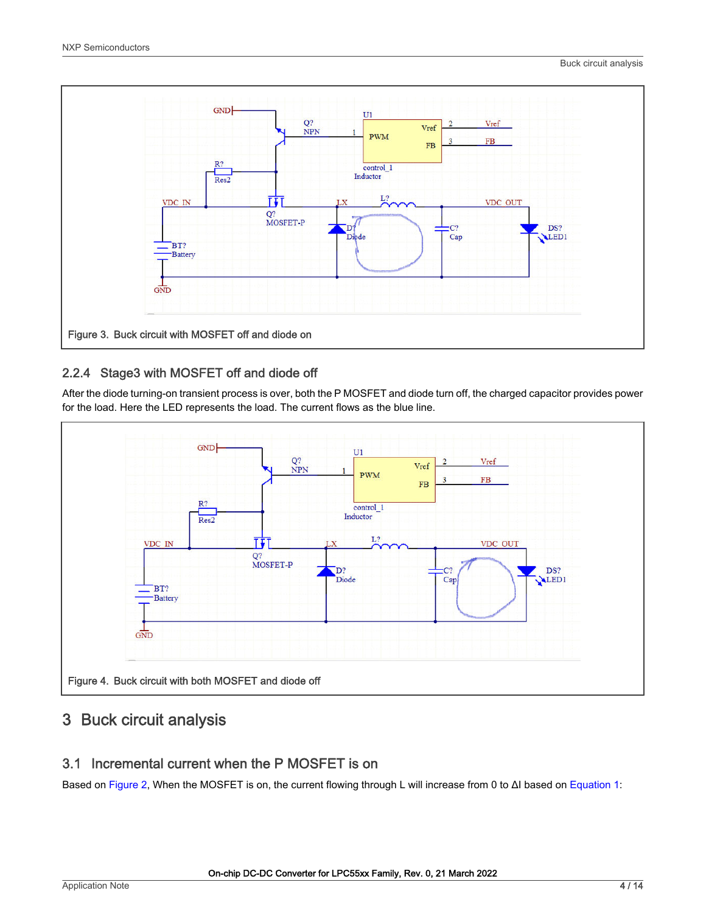<span id="page-3-0"></span>

#### 2.2.4 Stage3 with MOSFET off and diode off

After the diode turning-on transient process is over, both the P MOSFET and diode turn off, the charged capacitor provides power for the load. Here the LED represents the load. The current flows as the blue line.



#### 3 Buck circuit analysis

#### 3.1 Incremental current when the P MOSFET is on

Based on [Figure 2,](#page-2-0) When the MOSFET is on, the current flowing through L will increase from 0 to ΔI based on [Equation 1](#page-4-0):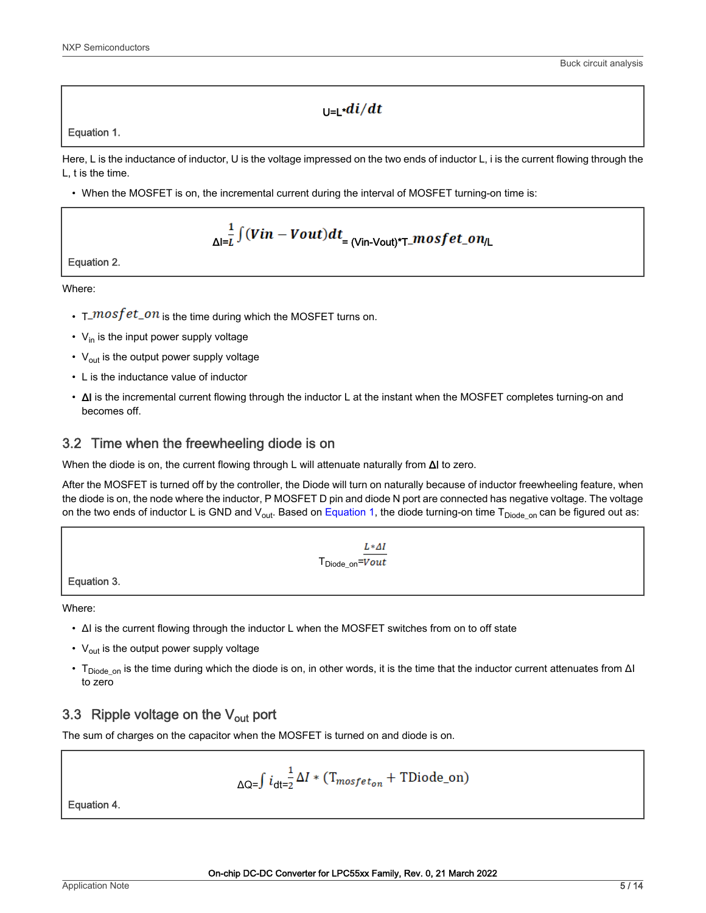#### $\ln d\vec{l}/dt$

<span id="page-4-0"></span>Equation 1.

Here, L is the inductance of inductor, U is the voltage impressed on the two ends of inductor L, i is the current flowing through the L, t is the time.

• When the MOSFET is on, the incremental current during the interval of MOSFET turning-on time is:

$$
\frac{1}{\Delta I} \int (Vin-Vout) dt = \frac{V_{\text{in-Vout}}}{T\_mostet\_on/L}
$$

Equation 2.

Where:

- $T_{\textit{un}} \rightarrow T_{\textit{un}}$  is the time during which the MOSFET turns on.
- $V_{in}$  is the input power supply voltage
- $V_{\text{out}}$  is the output power supply voltage
- L is the inductance value of inductor
- ΔI is the incremental current flowing through the inductor L at the instant when the MOSFET completes turning-on and becomes off.

#### 3.2 Time when the freewheeling diode is on

When the diode is on, the current flowing through L will attenuate naturally from ΔI to zero.

After the MOSFET is turned off by the controller, the Diode will turn on naturally because of inductor freewheeling feature, when the diode is on, the node where the inductor, P MOSFET D pin and diode N port are connected has negative voltage. The voltage on the two ends of inductor L is GND and  $V_{out}$ . Based on Equation 1, the diode turning-on time  $T_{Diode\_on}$  can be figured out as:

> $L*AI$  $T_{Diode\ on} = \overline{Vout}$

Equation 3.

Where:

- ΔI is the current flowing through the inductor L when the MOSFET switches from on to off state
- $V_{\text{out}}$  is the output power supply voltage
- T<sub>Diode\_on</sub> is the time during which the diode is on, in other words, it is the time that the inductor current attenuates from ΔI to zero

#### 3.3 Ripple voltage on the  $V_{\text{out}}$  port

The sum of charges on the capacitor when the MOSFET is turned on and diode is on.

$$
\Delta Q = \int i_{dt=2} \frac{1}{2} \Delta I \cdot (T_{mosfet_{on}} + \text{TDiode\_on})
$$

Equation 4.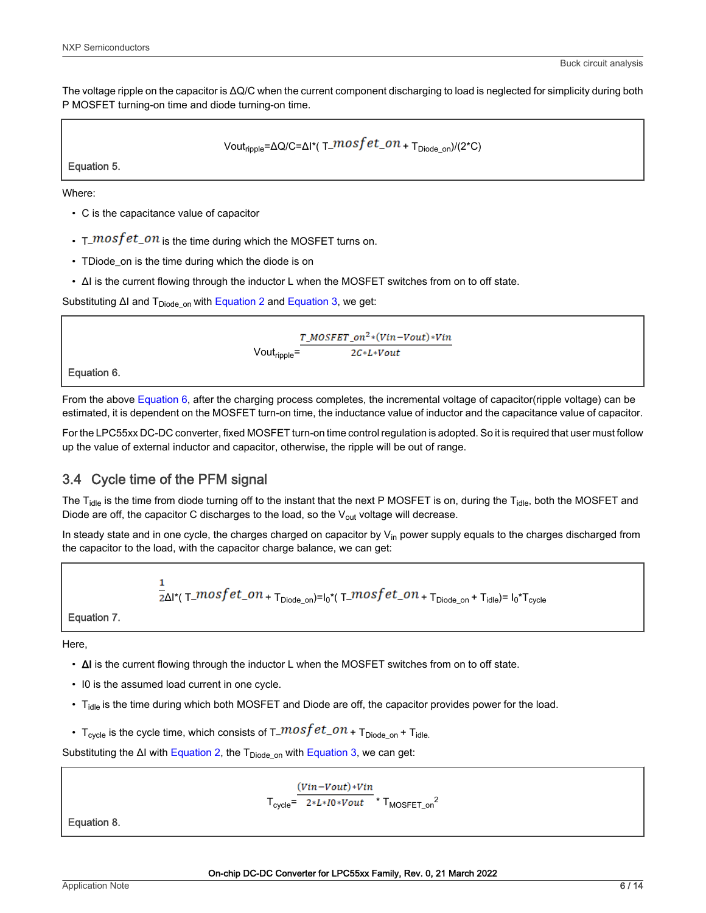<span id="page-5-0"></span>The voltage ripple on the capacitor is ΔQ/C when the current component discharging to load is neglected for simplicity during both P MOSFET turning-on time and diode turning-on time.

Vout<sub>ripple</sub>= $\Delta Q/C = \Delta I^*$ (T\_ $mosfet\_on + T_{Diode\ on}/(2^*C)$ 

Equation 5.

Where:

- C is the capacitance value of capacitor
- $T_{\text{max}}$   $\tau$   $\frac{1}{T}$   $\frac{1}{T}$   $\frac{1}{T}$   $\frac{1}{T}$   $\frac{1}{T}$   $\frac{1}{T}$   $\frac{1}{T}$   $\frac{1}{T}$   $\frac{1}{T}$   $\frac{1}{T}$   $\frac{1}{T}$   $\frac{1}{T}$   $\frac{1}{T}$   $\frac{1}{T}$   $\frac{1}{T}$   $\frac{1}{T}$   $\frac{1}{T}$   $\frac{1}{T}$   $\frac{1}{T}$   $\frac{1}{T}$   $\frac{$
- TDiode\_on is the time during which the diode is on
- ΔI is the current flowing through the inductor L when the MOSFET switches from on to off state.

Substituting ΔI and  $T_{Diode}$  <sub>on</sub> with [Equation 2](#page-4-0) and [Equation 3,](#page-4-0) we get:

 $\frac{T\_MOSFET\_on^{2}*(Vin-Vout)*Vin}{2C*I_*Vout}$  Vout<sub>ripple</sub>=

Equation 6.

From the above Equation 6, after the charging process completes, the incremental voltage of capacitor(ripple voltage) can be estimated, it is dependent on the MOSFET turn-on time, the inductance value of inductor and the capacitance value of capacitor.

For the LPC55xx DC-DC converter, fixed MOSFET turn-on time control regulation is adopted. So it is required that user must follow up the value of external inductor and capacitor, otherwise, the ripple will be out of range.

#### 3.4 Cycle time of the PFM signal

The  $T_{idle}$  is the time from diode turning off to the instant that the next P MOSFET is on, during the  $T_{idle}$ , both the MOSFET and Diode are off, the capacitor C discharges to the load, so the  $V_{\text{out}}$  voltage will decrease.

In steady state and in one cycle, the charges charged on capacitor by  $V_{in}$  power supply equals to the charges discharged from the capacitor to the load, with the capacitor charge balance, we can get:

 $\frac{1}{2\Delta}$ l\*(T\_ $mostet\_on$  + T<sub>Diode\_on</sub>)=l<sub>0</sub>\*(T\_ $mostet\_on$  + T<sub>Diode\_on</sub> + T<sub>idle</sub>)= l<sub>0</sub>\*T<sub>cycle</sub>

Equation 7.

Here,

- ΔI is the current flowing through the inductor L when the MOSFET switches from on to off state.
- I0 is the assumed load current in one cycle.
- T<sub>idle</sub> is the time during which both MOSFET and Diode are off, the capacitor provides power for the load.
- T<sub>cycle</sub> is the cycle time, which consists of  $T_{\text{c}}$  mosf  $et_{\text{c}}$  on + T<sub>Diode</sub> <sub>on</sub> + T<sub>idle</sub>

Substituting the ΔI with [Equation 2](#page-4-0), the T<sub>Diode\_on</sub> with [Equation 3](#page-4-0), we can get:

 $(Vin- Vout)*Vin$  $T_{\text{cycle}} = \frac{2 \times L \times I_0 \times V_0}{2 \times L \times I_0 \times V_0} \times T_{\text{MOSFET\_on}}^2$ 

Equation 8.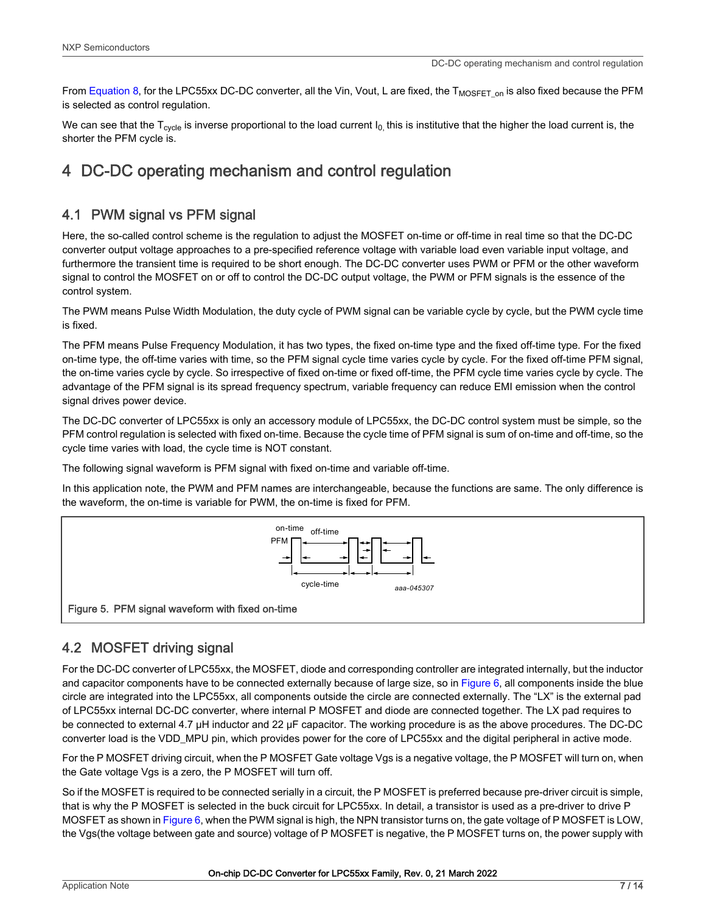<span id="page-6-0"></span>From [Equation 8](#page-5-0), for the LPC55xx DC-DC converter, all the Vin, Vout, L are fixed, the  $T_{MOSFET~on}$  is also fixed because the PFM is selected as control regulation.

We can see that the  $T_{\text{cycle}}$  is inverse proportional to the load current  $I_0$ , this is institutive that the higher the load current is, the shorter the PFM cycle is.

## 4 DC-DC operating mechanism and control regulation

#### 4.1 PWM signal vs PFM signal

Here, the so-called control scheme is the regulation to adjust the MOSFET on-time or off-time in real time so that the DC-DC converter output voltage approaches to a pre-specified reference voltage with variable load even variable input voltage, and furthermore the transient time is required to be short enough. The DC-DC converter uses PWM or PFM or the other waveform signal to control the MOSFET on or off to control the DC-DC output voltage, the PWM or PFM signals is the essence of the control system.

The PWM means Pulse Width Modulation, the duty cycle of PWM signal can be variable cycle by cycle, but the PWM cycle time is fixed.

The PFM means Pulse Frequency Modulation, it has two types, the fixed on-time type and the fixed off-time type. For the fixed on-time type, the off-time varies with time, so the PFM signal cycle time varies cycle by cycle. For the fixed off-time PFM signal, the on-time varies cycle by cycle. So irrespective of fixed on-time or fixed off-time, the PFM cycle time varies cycle by cycle. The advantage of the PFM signal is its spread frequency spectrum, variable frequency can reduce EMI emission when the control signal drives power device.

The DC-DC converter of LPC55xx is only an accessory module of LPC55xx, the DC-DC control system must be simple, so the PFM control regulation is selected with fixed on-time. Because the cycle time of PFM signal is sum of on-time and off-time, so the cycle time varies with load, the cycle time is NOT constant.

The following signal waveform is PFM signal with fixed on-time and variable off-time.

In this application note, the PWM and PFM names are interchangeable, because the functions are same. The only difference is the waveform, the on-time is variable for PWM, the on-time is fixed for PFM.



#### 4.2 MOSFET driving signal

For the DC-DC converter of LPC55xx, the MOSFET, diode and corresponding controller are integrated internally, but the inductor and capacitor components have to be connected externally because of large size, so in [Figure 6,](#page-7-0) all components inside the blue circle are integrated into the LPC55xx, all components outside the circle are connected externally. The "LX" is the external pad of LPC55xx internal DC-DC converter, where internal P MOSFET and diode are connected together. The LX pad requires to be connected to external 4.7 μH inductor and 22 μF capacitor. The working procedure is as the above procedures. The DC-DC converter load is the VDD\_MPU pin, which provides power for the core of LPC55xx and the digital peripheral in active mode.

For the P MOSFET driving circuit, when the P MOSFET Gate voltage Vgs is a negative voltage, the P MOSFET will turn on, when the Gate voltage Vgs is a zero, the P MOSFET will turn off.

So if the MOSFET is required to be connected serially in a circuit, the P MOSFET is preferred because pre-driver circuit is simple, that is why the P MOSFET is selected in the buck circuit for LPC55xx. In detail, a transistor is used as a pre-driver to drive P MOSFET as shown in [Figure 6,](#page-7-0) when the PWM signal is high, the NPN transistor turns on, the gate voltage of P MOSFET is LOW, the Vgs(the voltage between gate and source) voltage of P MOSFET is negative, the P MOSFET turns on, the power supply with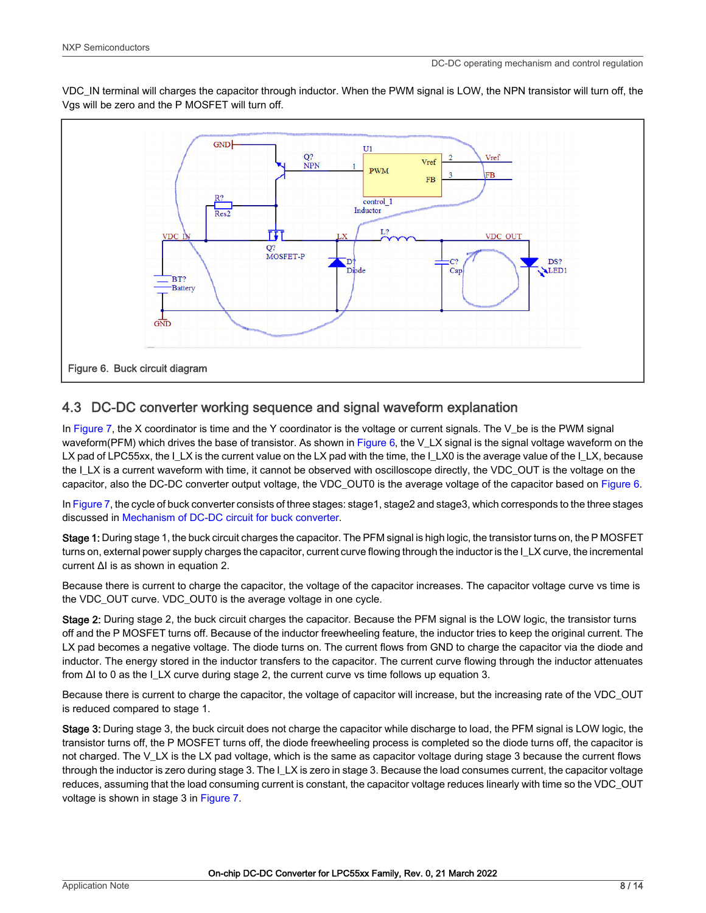<span id="page-7-0"></span>VDC\_IN terminal will charges the capacitor through inductor. When the PWM signal is LOW, the NPN transistor will turn off, the Vgs will be zero and the P MOSFET will turn off.



#### 4.3 DC-DC converter working sequence and signal waveform explanation

In Figure 7, the X coordinator is time and the Y coordinator is the voltage or current signals. The V\_be is the PWM signal waveform(PFM) which drives the base of transistor. As shown in Figure 6, the V\_LX signal is the signal voltage waveform on the LX pad of LPC55xx, the I\_LX is the current value on the LX pad with the time, the I\_LX0 is the average value of the I\_LX, because the I\_LX is a current waveform with time, it cannot be observed with oscilloscope directly, the VDC\_OUT is the voltage on the capacitor, also the DC-DC converter output voltage, the VDC\_OUT0 is the average voltage of the capacitor based on Figure 6.

In Figure 7, the cycle of buck converter consists of three stages: stage1, stage2 and stage3, which corresponds to the three stages discussed in [Mechanism of DC-DC circuit for buck converter](#page-1-0).

Stage 1: During stage 1, the buck circuit charges the capacitor. The PFM signal is high logic, the transistor turns on, the P MOSFET turns on, external power supply charges the capacitor, current curve flowing through the inductor is the I\_LX curve, the incremental current ΔI is as shown in equation 2.

Because there is current to charge the capacitor, the voltage of the capacitor increases. The capacitor voltage curve vs time is the VDC\_OUT curve. VDC\_OUT0 is the average voltage in one cycle.

Stage 2: During stage 2, the buck circuit charges the capacitor. Because the PFM signal is the LOW logic, the transistor turns off and the P MOSFET turns off. Because of the inductor freewheeling feature, the inductor tries to keep the original current. The LX pad becomes a negative voltage. The diode turns on. The current flows from GND to charge the capacitor via the diode and inductor. The energy stored in the inductor transfers to the capacitor. The current curve flowing through the inductor attenuates from  $\Delta$ I to 0 as the ILX curve during stage 2, the current curve vs time follows up equation 3.

Because there is current to charge the capacitor, the voltage of capacitor will increase, but the increasing rate of the VDC\_OUT is reduced compared to stage 1.

Stage 3: During stage 3, the buck circuit does not charge the capacitor while discharge to load, the PFM signal is LOW logic, the transistor turns off, the P MOSFET turns off, the diode freewheeling process is completed so the diode turns off, the capacitor is not charged. The V<sub>LX</sub> is the LX pad voltage, which is the same as capacitor voltage during stage 3 because the current flows through the inductor is zero during stage 3. The I\_LX is zero in stage 3. Because the load consumes current, the capacitor voltage reduces, assuming that the load consuming current is constant, the capacitor voltage reduces linearly with time so the VDC\_OUT voltage is shown in stage 3 in Figure 7.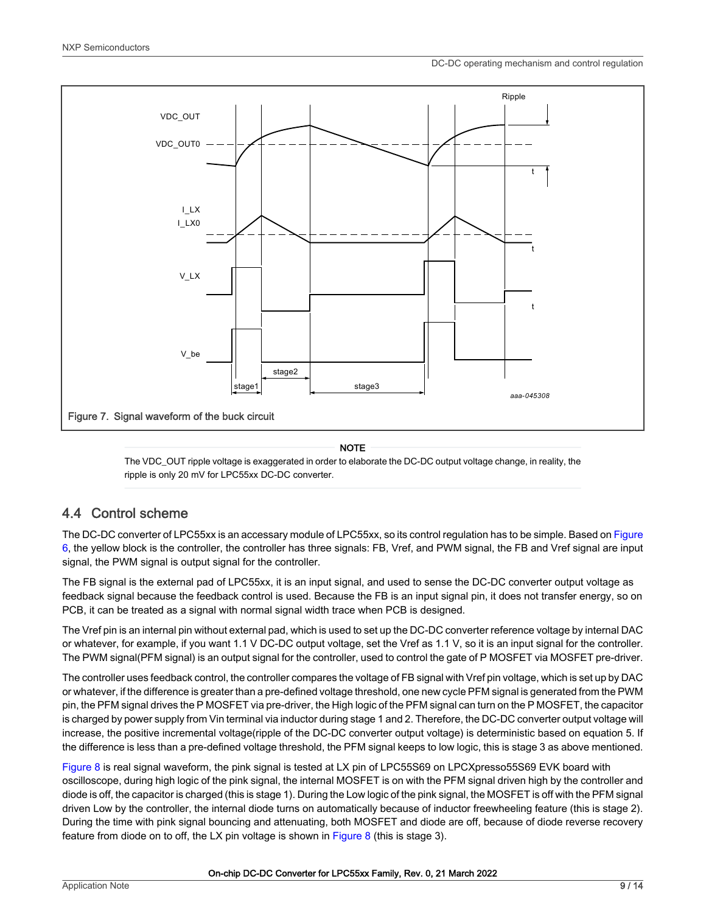

#### **NOTE**

The VDC\_OUT ripple voltage is exaggerated in order to elaborate the DC-DC output voltage change, in reality, the ripple is only 20 mV for LPC55xx DC-DC converter.

#### 4.4 Control scheme

The DC-DC converter of LPC55xx is an accessary module of LPC55xx, so its control regulation has to be simple. Based on [Figure](#page-7-0)  [6](#page-7-0), the yellow block is the controller, the controller has three signals: FB, Vref, and PWM signal, the FB and Vref signal are input signal, the PWM signal is output signal for the controller.

The FB signal is the external pad of LPC55xx, it is an input signal, and used to sense the DC-DC converter output voltage as feedback signal because the feedback control is used. Because the FB is an input signal pin, it does not transfer energy, so on PCB, it can be treated as a signal with normal signal width trace when PCB is designed.

The Vref pin is an internal pin without external pad, which is used to set up the DC-DC converter reference voltage by internal DAC or whatever, for example, if you want 1.1 V DC-DC output voltage, set the Vref as 1.1 V, so it is an input signal for the controller. The PWM signal(PFM signal) is an output signal for the controller, used to control the gate of P MOSFET via MOSFET pre-driver.

The controller uses feedback control, the controller compares the voltage of FB signal with Vref pin voltage, which is set up by DAC or whatever, if the difference is greater than a pre-defined voltage threshold, one new cycle PFM signal is generated from the PWM pin, the PFM signal drives the P MOSFET via pre-driver, the High logic of the PFM signal can turn on the P MOSFET, the capacitor is charged by power supply from Vin terminal via inductor during stage 1 and 2. Therefore, the DC-DC converter output voltage will increase, the positive incremental voltage(ripple of the DC-DC converter output voltage) is deterministic based on equation 5. If the difference is less than a pre-defined voltage threshold, the PFM signal keeps to low logic, this is stage 3 as above mentioned.

[Figure 8](#page-9-0) is real signal waveform, the pink signal is tested at LX pin of LPC55S69 on LPCXpresso55S69 EVK board with oscilloscope, during high logic of the pink signal, the internal MOSFET is on with the PFM signal driven high by the controller and diode is off, the capacitor is charged (this is stage 1). During the Low logic of the pink signal, the MOSFET is off with the PFM signal driven Low by the controller, the internal diode turns on automatically because of inductor freewheeling feature (this is stage 2). During the time with pink signal bouncing and attenuating, both MOSFET and diode are off, because of diode reverse recovery feature from diode on to off, the LX pin voltage is shown in [Figure 8](#page-9-0) (this is stage 3).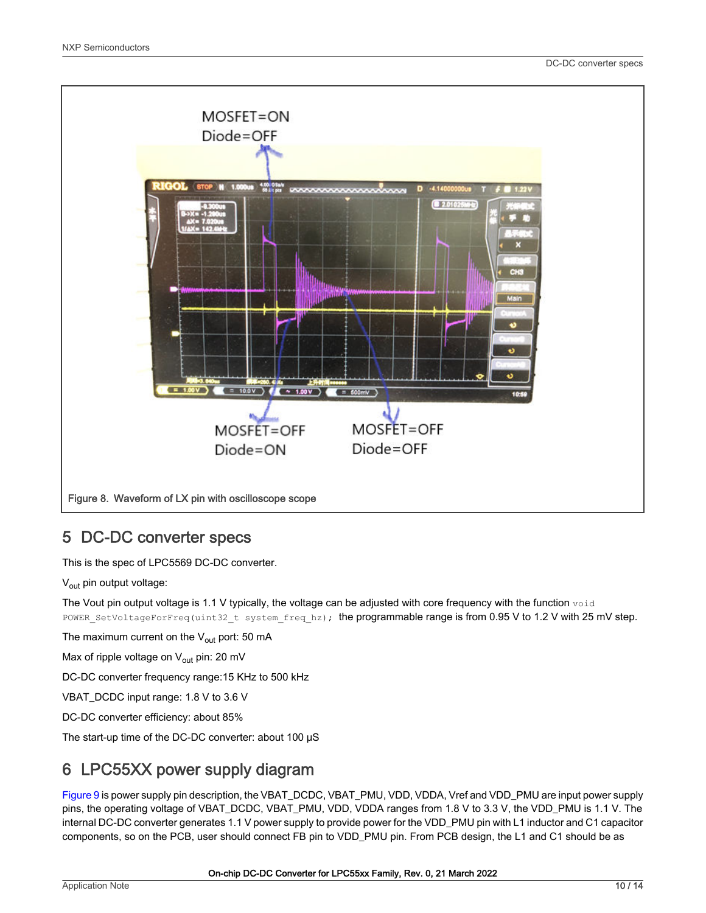<span id="page-9-0"></span>

#### 5 DC-DC converter specs

This is the spec of LPC5569 DC-DC converter.

V<sub>out</sub> pin output voltage:

The Vout pin output voltage is 1.1 V typically, the voltage can be adjusted with core frequency with the function  $v \circ id$ POWER\_SetVoltageForFreq(uint32\_t system\_freq\_hz); the programmable range is from 0.95 V to 1.2 V with 25 mV step.

The maximum current on the  $V_{\text{out}}$  port: 50 mA

Max of ripple voltage on  $V_{\text{out}}$  pin: 20 mV

DC-DC converter frequency range:15 KHz to 500 kHz

VBAT\_DCDC input range: 1.8 V to 3.6 V

DC-DC converter efficiency: about 85%

The start-up time of the DC-DC converter: about 100 μS

#### 6 LPC55XX power supply diagram

Figure 9 is power supply pin description, the VBAT\_DCDC, VBAT\_PMU, VDD, VDDA, Vref and VDD\_PMU are input power supply pins, the operating voltage of VBAT\_DCDC, VBAT\_PMU, VDD, VDDA ranges from 1.8 V to 3.3 V, the VDD\_PMU is 1.1 V. The internal DC-DC converter generates 1.1 V power supply to provide power for the VDD\_PMU pin with L1 inductor and C1 capacitor components, so on the PCB, user should connect FB pin to VDD\_PMU pin. From PCB design, the L1 and C1 should be as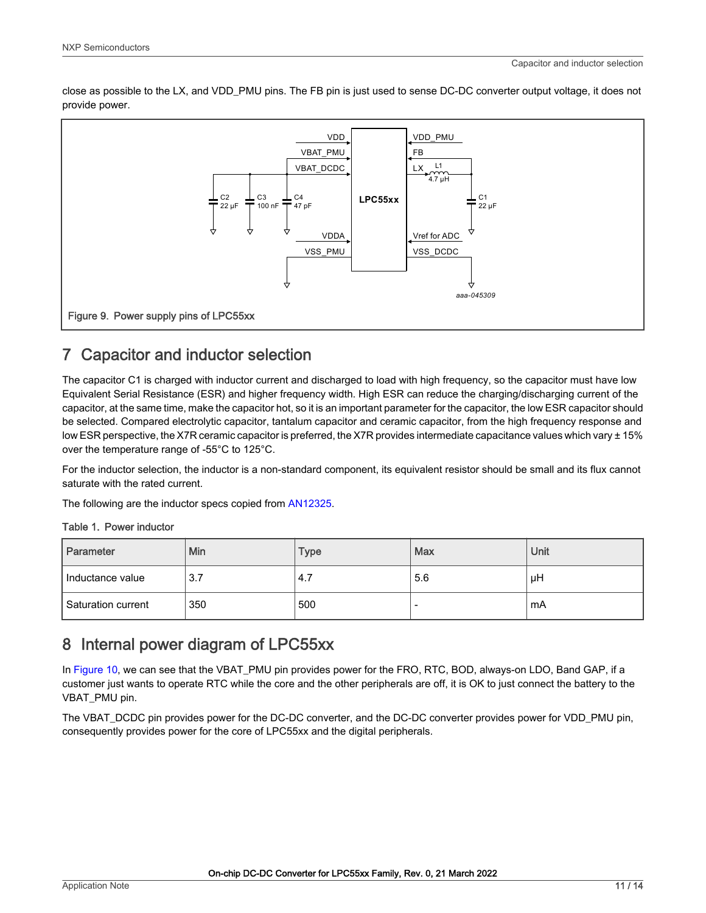<span id="page-10-0"></span>close as possible to the LX, and VDD\_PMU pins. The FB pin is just used to sense DC-DC converter output voltage, it does not provide power.



### 7 Capacitor and inductor selection

The capacitor C1 is charged with inductor current and discharged to load with high frequency, so the capacitor must have low Equivalent Serial Resistance (ESR) and higher frequency width. High ESR can reduce the charging/discharging current of the capacitor, at the same time, make the capacitor hot, so it is an important parameter for the capacitor, the low ESR capacitor should be selected. Compared electrolytic capacitor, tantalum capacitor and ceramic capacitor, from the high frequency response and low ESR perspective, the X7R ceramic capacitor is preferred, the X7R provides intermediate capacitance values which vary ± 15% over the temperature range of -55°C to 125°C.

For the inductor selection, the inductor is a non-standard component, its equivalent resistor should be small and its flux cannot saturate with the rated current.

The following are the inductor specs copied from [AN12325.](https://www.nxp.com/docs/en/application-note/AN12325.pdf)

|  | Table 1. Power inductor |
|--|-------------------------|
|  |                         |

| Parameter            | Min | <b>Type</b> | Max | Unit |
|----------------------|-----|-------------|-----|------|
| Inductance value     | 3.7 | 4.7         | 5.6 | μH   |
| l Saturation current | 350 | 500         |     | mA   |

#### 8 Internal power diagram of LPC55xx

In Figure 10, we can see that the VBAT\_PMU pin provides power for the FRO, RTC, BOD, always-on LDO, Band GAP, if a customer just wants to operate RTC while the core and the other peripherals are off, it is OK to just connect the battery to the VBAT\_PMU pin.

The VBAT\_DCDC pin provides power for the DC-DC converter, and the DC-DC converter provides power for VDD\_PMU pin, consequently provides power for the core of LPC55xx and the digital peripherals.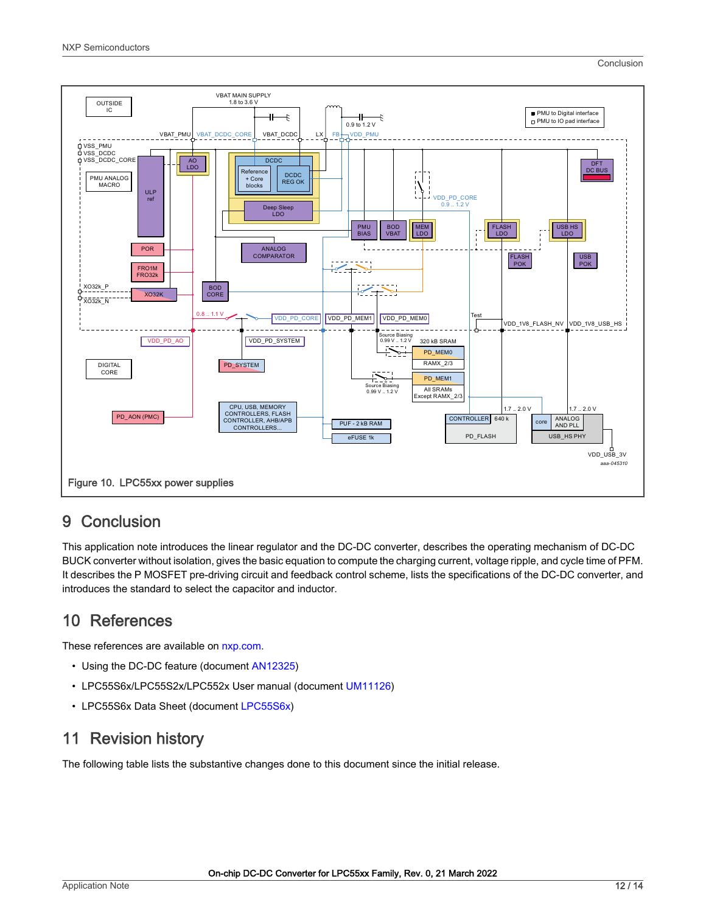```
Conclusion
```
<span id="page-11-0"></span>

#### 9 Conclusion

This application note introduces the linear regulator and the DC-DC converter, describes the operating mechanism of DC-DC BUCK converter without isolation, gives the basic equation to compute the charging current, voltage ripple, and cycle time of PFM. It describes the P MOSFET pre-driving circuit and feedback control scheme, lists the specifications of the DC-DC converter, and introduces the standard to select the capacitor and inductor.

## 10 References

These references are available on [nxp.com.](https://www.nxp.com/)

- Using the DC-DC feature (document [AN12325](https://www.nxp.com/doc/AN12325))
- LPC55S6x/LPC55S2x/LPC552x User manual (document [UM11126](https://www.nxp.com/doc/UM11126))
- LPC55S6x Data Sheet (document [LPC55S6x](https://www.nxp.com/docs/en/nxp/data-sheets/LPC55S6x_DS.pdf))

#### 11 Revision history

The following table lists the substantive changes done to this document since the initial release.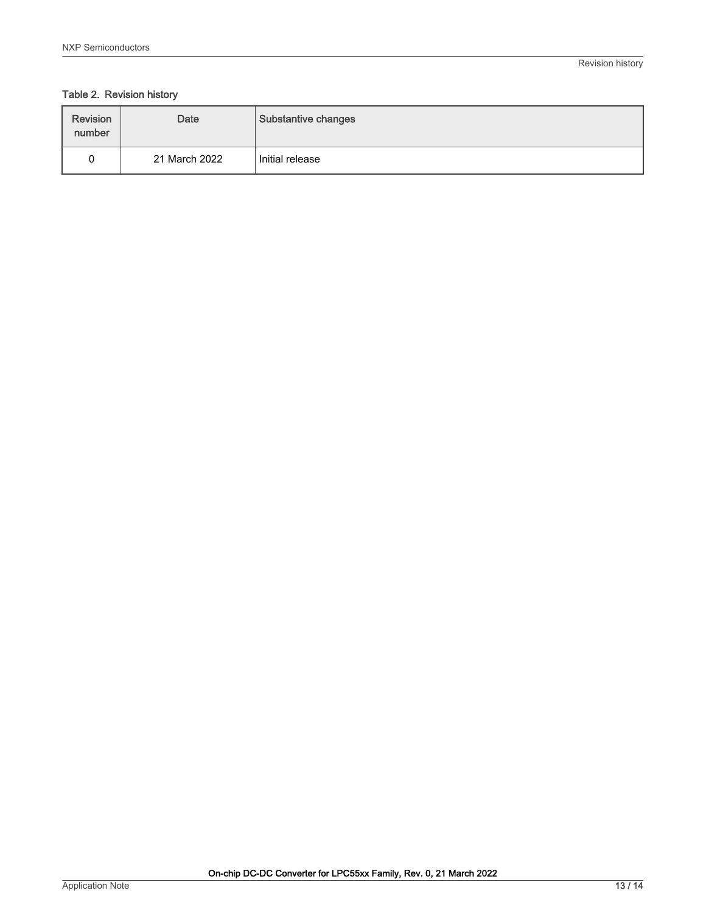#### Table 2. Revision history

| <b>Revision</b><br>number | <b>Date</b>   | Substantive changes |
|---------------------------|---------------|---------------------|
|                           | 21 March 2022 | Initial release     |